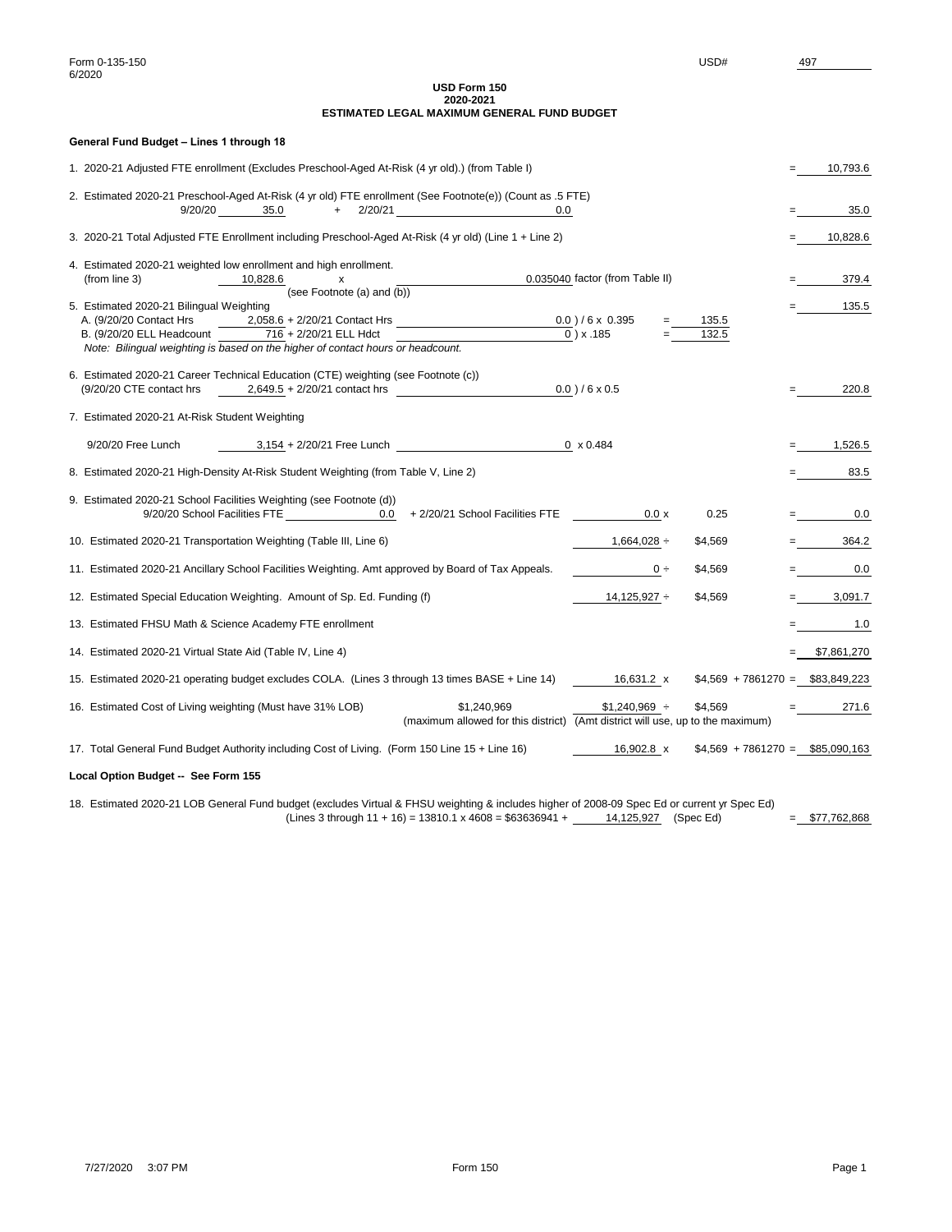| General Fund Budget - Lines 1 through 18                                                                                                                                                                                                                                                                                                     |   |              |  |
|----------------------------------------------------------------------------------------------------------------------------------------------------------------------------------------------------------------------------------------------------------------------------------------------------------------------------------------------|---|--------------|--|
| 1. 2020-21 Adjusted FTE enrollment (Excludes Preschool-Aged At-Risk (4 yr old).) (from Table I)                                                                                                                                                                                                                                              |   |              |  |
| 2. Estimated 2020-21 Preschool-Aged At-Risk (4 yr old) FTE enrollment (See Footnote(e)) (Count as .5 FTE)<br>9/20/20 35.0<br>$+ 2/20/21$<br>0.0                                                                                                                                                                                              |   | 35.0         |  |
| 3. 2020-21 Total Adjusted FTE Enrollment including Preschool-Aged At-Risk (4 yr old) (Line 1 + Line 2)                                                                                                                                                                                                                                       |   | 10,828.6     |  |
| 4. Estimated 2020-21 weighted low enrollment and high enrollment.<br>0.035040 factor (from Table II)<br>(from line 3)<br>10,828.6<br>X                                                                                                                                                                                                       |   | 379.4        |  |
| (see Footnote (a) and $\overline{(b)}$<br>5. Estimated 2020-21 Bilingual Weighting<br>A. (9/20/20 Contact Hrs<br>2,058.6 + 2/20/21 Contact Hrs 0.0 ) / 6 x 0.395<br>135.5<br>716 + 2/20/21 ELL Hdct<br>$0$ ) x .185<br>B. (9/20/20 ELL Headcount<br>132.5<br>Note: Bilingual weighting is based on the higher of contact hours or headcount. |   | 135.5        |  |
| 6. Estimated 2020-21 Career Technical Education (CTE) weighting (see Footnote (c))<br>$0.0$ ) / 6 x 0.5<br>$(9/20/20$ CTE contact hrs $2,649.5 + 2/20/21$ contact hrs                                                                                                                                                                        |   | 220.8        |  |
| 7. Estimated 2020-21 At-Risk Student Weighting                                                                                                                                                                                                                                                                                               |   |              |  |
| 9/20/20 Free Lunch<br>$3,154 + 2/20/21$ Free Lunch<br>$0 \times 0.484$                                                                                                                                                                                                                                                                       |   | 1,526.5      |  |
| 8. Estimated 2020-21 High-Density At-Risk Student Weighting (from Table V, Line 2)                                                                                                                                                                                                                                                           |   | 83.5         |  |
| 9. Estimated 2020-21 School Facilities Weighting (see Footnote (d))<br>9/20/20 School Facilities FTE 0.0<br>+ 2/20/21 School Facilities FTE<br>0.25<br>0.0 x                                                                                                                                                                                 |   | 0.0          |  |
| 10. Estimated 2020-21 Transportation Weighting (Table III, Line 6)<br>$1,664,028 \div$<br>\$4,569                                                                                                                                                                                                                                            |   | 364.2        |  |
| 11. Estimated 2020-21 Ancillary School Facilities Weighting. Amt approved by Board of Tax Appeals.<br>\$4,569<br>$0 \div$                                                                                                                                                                                                                    |   | 0.0          |  |
| 12. Estimated Special Education Weighting. Amount of Sp. Ed. Funding (f)<br>$14,125,927 \div$<br>\$4,569                                                                                                                                                                                                                                     |   | 3,091.7      |  |
| 13. Estimated FHSU Math & Science Academy FTE enrollment                                                                                                                                                                                                                                                                                     | = | 1.0          |  |
| 14. Estimated 2020-21 Virtual State Aid (Table IV, Line 4)                                                                                                                                                                                                                                                                                   |   | \$7,861,270  |  |
| 15. Estimated 2020-21 operating budget excludes COLA. (Lines 3 through 13 times BASE + Line 14)<br>16,631.2 x<br>$$4,569 + 7861270 = $83,849,223$                                                                                                                                                                                            |   |              |  |
| 16. Estimated Cost of Living weighting (Must have 31% LOB)<br>\$1,240,969<br>$$1,240,969$ ÷<br>\$4,569<br>(maximum allowed for this district)<br>(Amt district will use, up to the maximum)                                                                                                                                                  |   | 271.6        |  |
| 17. Total General Fund Budget Authority including Cost of Living. (Form 150 Line 15 + Line 16)<br>$$4,569 + 7861270 = $85,090,163$<br>16,902.8 x                                                                                                                                                                                             |   |              |  |
| Local Option Budget -- See Form 155                                                                                                                                                                                                                                                                                                          |   |              |  |
| 18. Estimated 2020-21 LOB General Fund budget (excludes Virtual & FHSU weighting & includes higher of 2008-09 Spec Ed or current yr Spec Ed)<br>(Lines 3 through $11 + 16$ ) = 13810.1 x 4608 = \$63636941 +<br>14,125,927<br>(Spec Ed)                                                                                                      |   | \$77,762,868 |  |

### **USD Form 150 2020-2021 ESTIMATED LEGAL MAXIMUM GENERAL FUND BUDGET**

7/27/2020 3:07 PM Form 150 Page 1

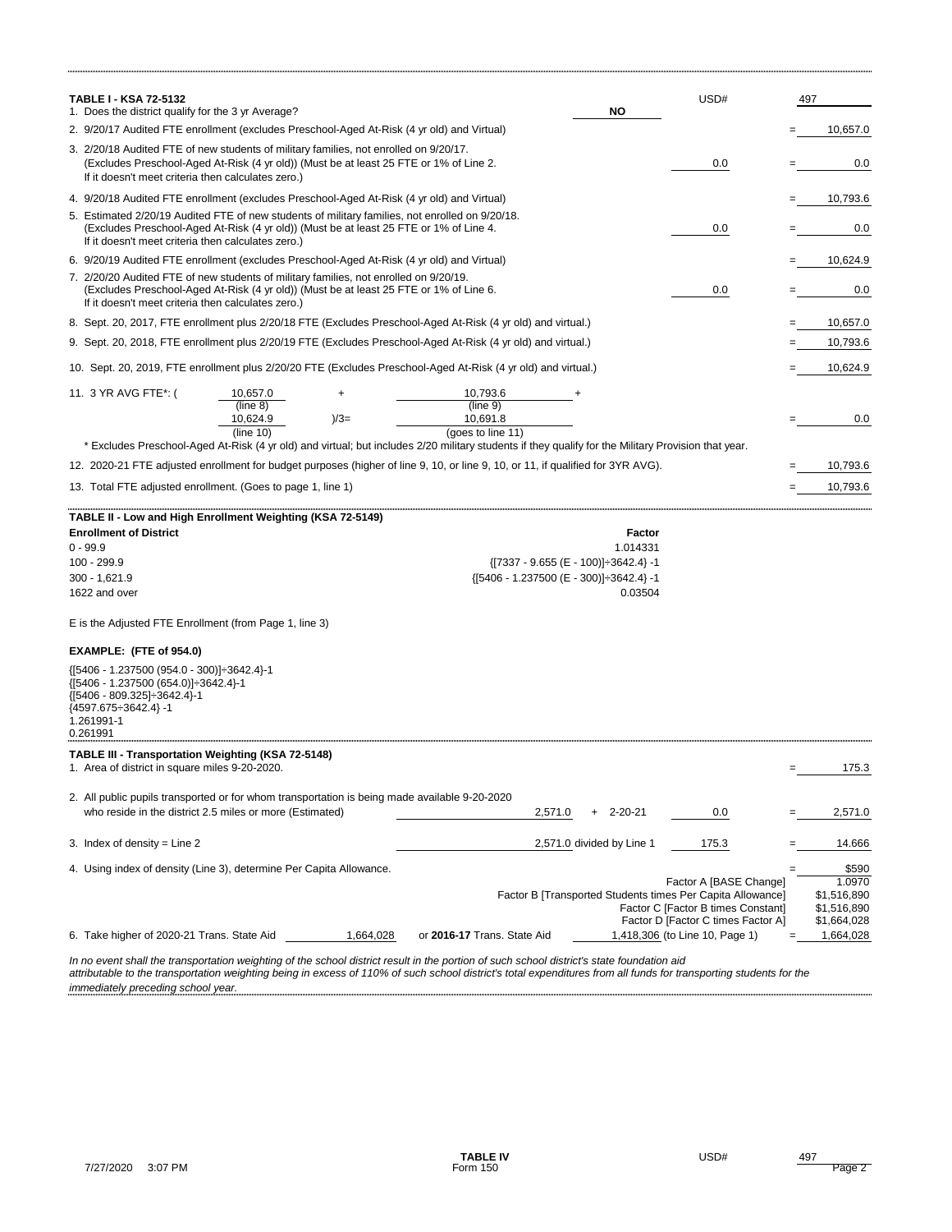| <b>TABLE I - KSA 72-5132</b><br>1. Does the district qualify for the 3 yr Average?                                                                                                                                                                          | <b>NO</b>                            | USD#                                                                                                                                                                                               | 497                                                              |
|-------------------------------------------------------------------------------------------------------------------------------------------------------------------------------------------------------------------------------------------------------------|--------------------------------------|----------------------------------------------------------------------------------------------------------------------------------------------------------------------------------------------------|------------------------------------------------------------------|
| 2. 9/20/17 Audited FTE enrollment (excludes Preschool-Aged At-Risk (4 yr old) and Virtual)                                                                                                                                                                  |                                      |                                                                                                                                                                                                    | 10,657.0                                                         |
| 3. 2/20/18 Audited FTE of new students of military families, not enrolled on 9/20/17.<br>(Excludes Preschool-Aged At-Risk (4 yr old)) (Must be at least 25 FTE or 1% of Line 2.<br>If it doesn't meet criteria then calculates zero.)                       |                                      | 0.0                                                                                                                                                                                                | 0.0                                                              |
| 4. 9/20/18 Audited FTE enrollment (excludes Preschool-Aged At-Risk (4 yr old) and Virtual)                                                                                                                                                                  |                                      |                                                                                                                                                                                                    | 10,793.6                                                         |
| 5. Estimated 2/20/19 Audited FTE of new students of military families, not enrolled on 9/20/18.<br>(Excludes Preschool-Aged At-Risk (4 yr old)) (Must be at least 25 FTE or 1% of Line 4.<br>If it doesn't meet criteria then calculates zero.)             |                                      | 0.0                                                                                                                                                                                                | 0.0                                                              |
| 6. 9/20/19 Audited FTE enrollment (excludes Preschool-Aged At-Risk (4 yr old) and Virtual)                                                                                                                                                                  |                                      |                                                                                                                                                                                                    | 10,624.9                                                         |
| 7. 2/20/20 Audited FTE of new students of military families, not enrolled on 9/20/19.<br>(Excludes Preschool-Aged At-Risk (4 yr old)) (Must be at least 25 FTE or 1% of Line 6.<br>If it doesn't meet criteria then calculates zero.)                       |                                      | 0.0                                                                                                                                                                                                | 0.0                                                              |
| 8. Sept. 20, 2017, FTE enrollment plus 2/20/18 FTE (Excludes Preschool-Aged At-Risk (4 yr old) and virtual.)                                                                                                                                                |                                      |                                                                                                                                                                                                    | 10,657.0                                                         |
| 9. Sept. 20, 2018, FTE enrollment plus 2/20/19 FTE (Excludes Preschool-Aged At-Risk (4 yr old) and virtual.)                                                                                                                                                |                                      |                                                                                                                                                                                                    | 10,793.6                                                         |
| 10. Sept. 20, 2019, FTE enrollment plus 2/20/20 FTE (Excludes Preschool-Aged At-Risk (4 yr old) and virtual.)                                                                                                                                               |                                      |                                                                                                                                                                                                    | 10,624.9                                                         |
| 11. 3 YR AVG FTE*: (<br>10,793.6<br>10,657.0<br>+<br>(line $8)$<br>(line 9)<br>10,624.9<br>$)/3=$<br>10,691.8<br>(line $10$ )<br>(goes to line 11)                                                                                                          |                                      |                                                                                                                                                                                                    | 0.0                                                              |
| * Excludes Preschool-Aged At-Risk (4 yr old) and virtual; but includes 2/20 military students if they qualify for the Military Provision that year.                                                                                                         |                                      |                                                                                                                                                                                                    |                                                                  |
| 12. 2020-21 FTE adjusted enrollment for budget purposes (higher of line 9, 10, or line 9, 10, or 11, if qualified for 3YR AVG).                                                                                                                             |                                      |                                                                                                                                                                                                    | 10,793.6                                                         |
| 13. Total FTE adjusted enrollment. (Goes to page 1, line 1)                                                                                                                                                                                                 |                                      |                                                                                                                                                                                                    | 10,793.6                                                         |
| TABLE II - Low and High Enrollment Weighting (KSA 72-5149)<br><b>Enrollment of District</b><br>$0 - 99.9$<br>100 - 299.9<br>${[7337 - 9.655 (E - 100)]}{ \div}3642.4} - 1$<br>${5406 - 1.237500 (E - 300)}\div 3642.4$ -1<br>300 - 1,621.9<br>1622 and over | <b>Factor</b><br>1.014331<br>0.03504 |                                                                                                                                                                                                    |                                                                  |
| E is the Adjusted FTE Enrollment (from Page 1, line 3)                                                                                                                                                                                                      |                                      |                                                                                                                                                                                                    |                                                                  |
| EXAMPLE: (FTE of 954.0)                                                                                                                                                                                                                                     |                                      |                                                                                                                                                                                                    |                                                                  |
| {[5406 - 1.237500 (954.0 - 300)] - 3642.4}-1<br>{[5406 - 1.237500 (654.0)] ÷ 3642.4}-1<br>${ [5406 - 809.325] \div 3642.4 }$ -1<br>${4597.675 \div 3642.4}$ -1<br>1.261991-1<br>0.261991                                                                    |                                      |                                                                                                                                                                                                    |                                                                  |
| <b>TABLE III - Transportation Weighting (KSA 72-5148)</b><br>1. Area of district in square miles 9-20-2020.                                                                                                                                                 |                                      |                                                                                                                                                                                                    | 175.3                                                            |
|                                                                                                                                                                                                                                                             |                                      |                                                                                                                                                                                                    |                                                                  |
| 2. All public pupils transported or for whom transportation is being made available 9-20-2020<br>who reside in the district 2.5 miles or more (Estimated)<br>2,571.0                                                                                        | $2 - 20 - 21$<br>$+$                 | 0.0                                                                                                                                                                                                | 2,571.0                                                          |
| 3. Index of density = Line $2$<br>2,571.0 divided by Line 1                                                                                                                                                                                                 |                                      | 175.3                                                                                                                                                                                              | 14.666                                                           |
| 4. Using index of density (Line 3), determine Per Capita Allowance.                                                                                                                                                                                         |                                      |                                                                                                                                                                                                    | \$590                                                            |
| 6. Take higher of 2020-21 Trans. State Aid<br>or 2016-17 Trans. State Aid<br>1,664,028                                                                                                                                                                      |                                      | Factor A [BASE Change]<br>Factor B [Transported Students times Per Capita Allowance]<br>Factor C [Factor B times Constant]<br>Factor D [Factor C times Factor A]<br>1,418,306 (to Line 10, Page 1) | 1.0970<br>\$1,516,890<br>\$1,516,890<br>\$1,664,028<br>1,664,028 |

*In no event shall the transportation weighting of the school district result in the portion of such school district's state foundation aid attributable to the transportation weighting being in excess of 110% of such school district's total expenditures from all funds for transporting students for the* 

7/27/2020 3:07 PM **Form 150** Form 150

**TABLE IV** USD# 497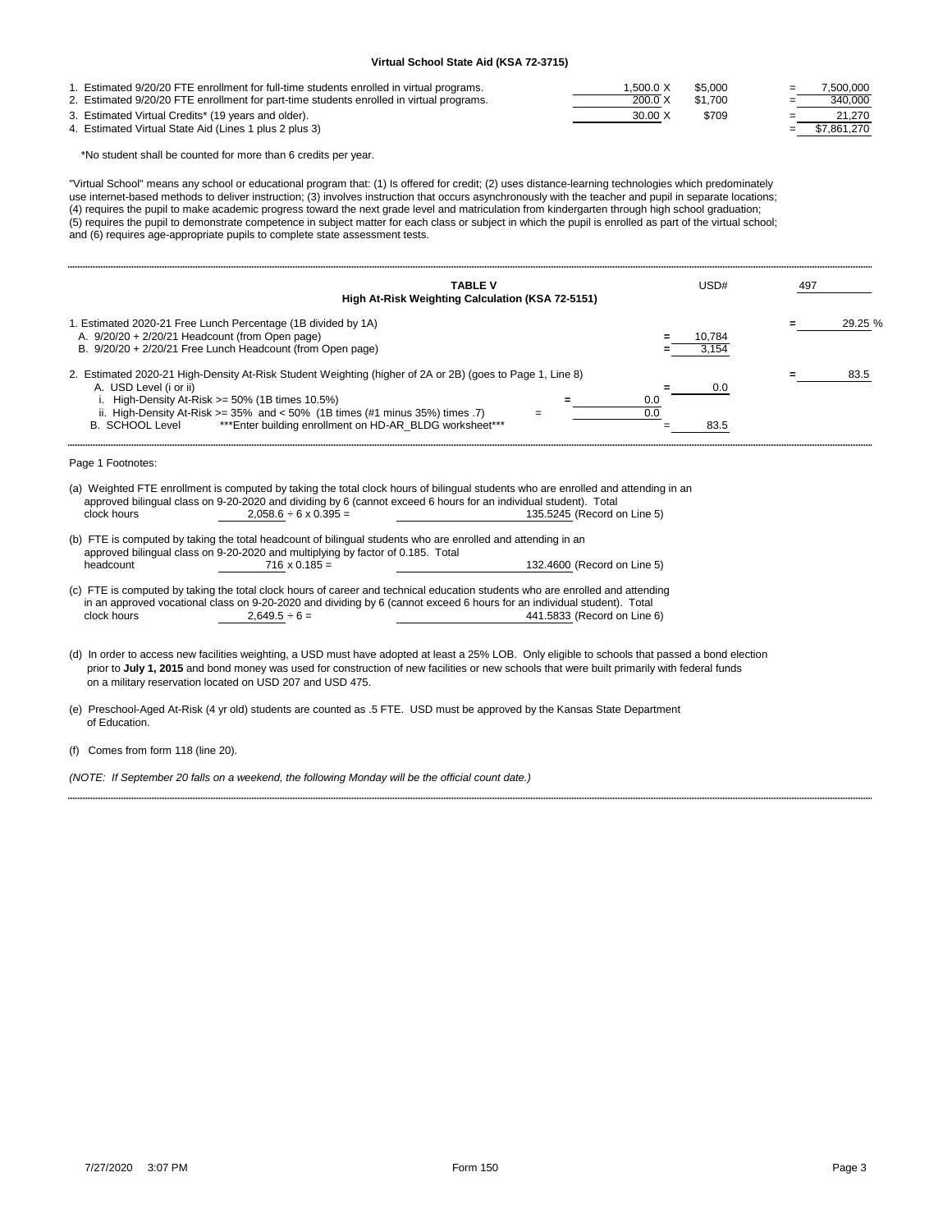| 1. Estimated 9/20/20 FTE enrollment for full-time students enrolled in virtual programs. | 1.500.0 X      | \$5,000 | $=$ | 7.500.000       |
|------------------------------------------------------------------------------------------|----------------|---------|-----|-----------------|
| 2. Estimated 9/20/20 FTE enrollment for part-time students enrolled in virtual programs. | 200.0 X        | \$1.700 | $=$ | 340,000         |
| 3. Estimated Virtual Credits* (19 years and older).                                      | $30.00 \times$ | \$709   | $=$ | 21.270          |
| 4. Estimated Virtual State Aid (Lines 1 plus 2 plus 3)                                   |                |         |     | $=$ \$7,861,270 |

\*No student shall be counted for more than 6 credits per year.

"Virtual School" means any school or educational program that: (1) Is offered for credit; (2) uses distance-learning technologies which predominately use internet-based methods to deliver instruction; (3) involves instruction that occurs asynchronously with the teacher and pupil in separate locations; (4) requires the pupil to make academic progress toward the next grade level and matriculation from kindergarten through high school graduation; (5) requires the pupil to demonstrate competence in subject matter for each class or subject in which the pupil is enrolled as part of the virtual school; and (6) requires age-appropriate pupils to complete state assessment tests.

| <b>TABLE V</b><br>High At-Risk Weighting Calculation (KSA 72-5151)                                                                                                                                                                                                                                                                                                    | USD#                                   | 497  |         |
|-----------------------------------------------------------------------------------------------------------------------------------------------------------------------------------------------------------------------------------------------------------------------------------------------------------------------------------------------------------------------|----------------------------------------|------|---------|
| 1. Estimated 2020-21 Free Lunch Percentage (1B divided by 1A)<br>A. 9/20/20 + 2/20/21 Headcount (from Open page)<br>B. 9/20/20 + 2/20/21 Free Lunch Headcount (from Open page)                                                                                                                                                                                        | 10,784<br>3.154                        |      | 29.25 % |
| 2. Estimated 2020-21 High-Density At-Risk Student Weighting (higher of 2A or 2B) (goes to Page 1, Line 8)<br>A. USD Level (i or ii)<br>i. High-Density At-Risk $>= 50\%$ (1B times 10.5%)<br>ii. High-Density At-Risk $>= 35\%$ and $< 50\%$ (1B times (#1 minus 35%) times .7)<br>*** Enter building enrollment on HD-AR_BLDG worksheet***<br><b>B. SCHOOL Level</b> | 0.0<br>0.0<br>$\overline{0.0}$<br>83.5 | 83.5 |         |
| Page 1 Footnotes:                                                                                                                                                                                                                                                                                                                                                     |                                        |      |         |
| (a) Weighted FTE enrollment is computed by taking the total clock hours of bilingual students who are enrolled and attending in an<br>approved bilingual class on 9-20-2020 and dividing by 6 (cannot exceed 6 hours for an individual student). Total<br>clock hours<br>$2,058.6 \div 6 \times 0.395 =$<br>135.5245 (Record on Line 5)                               |                                        |      |         |
| (b) FTE is computed by taking the total headcount of bilingual students who are enrolled and attending in an<br>approved bilingual class on 9-20-2020 and multiplying by factor of 0.185. Total<br>headcount<br>$716 \times 0.185 =$<br>132.4600 (Record on Line 5)                                                                                                   |                                        |      |         |
| (c) FTE is computed by taking the total clock hours of career and technical education students who are enrolled and attending<br>in an approved vocational class on 9-20-2020 and dividing by 6 (cannot exceed 6 hours for an individual student). Total<br>clock hours<br>$2,649.5 \div 6 =$<br>441.5833 (Record on Line 6)                                          |                                        |      |         |
| (d) In order to access new facilities weighting, a USD must have adopted at least a 25% LOB. Only eligible to schools that passed a bond election<br>prior to July 1, 2015 and bond money was used for construction of new facilities or new schools that were built primarily with federal funds<br>on a military reservation located on USD 207 and USD 475.        |                                        |      |         |
| (e) Preschool-Aged At-Risk (4 yr old) students are counted as .5 FTE. USD must be approved by the Kansas State Department<br>of Education.                                                                                                                                                                                                                            |                                        |      |         |
| (f) Comes from form 118 (line 20).                                                                                                                                                                                                                                                                                                                                    |                                        |      |         |
| (NOTE: If September 20 falls on a weekend, the following Monday will be the official count date.)                                                                                                                                                                                                                                                                     |                                        |      |         |

# **Virtual School State Aid (KSA 72-3715)**

7/27/2020 3:07 PM Form 150 Page 3